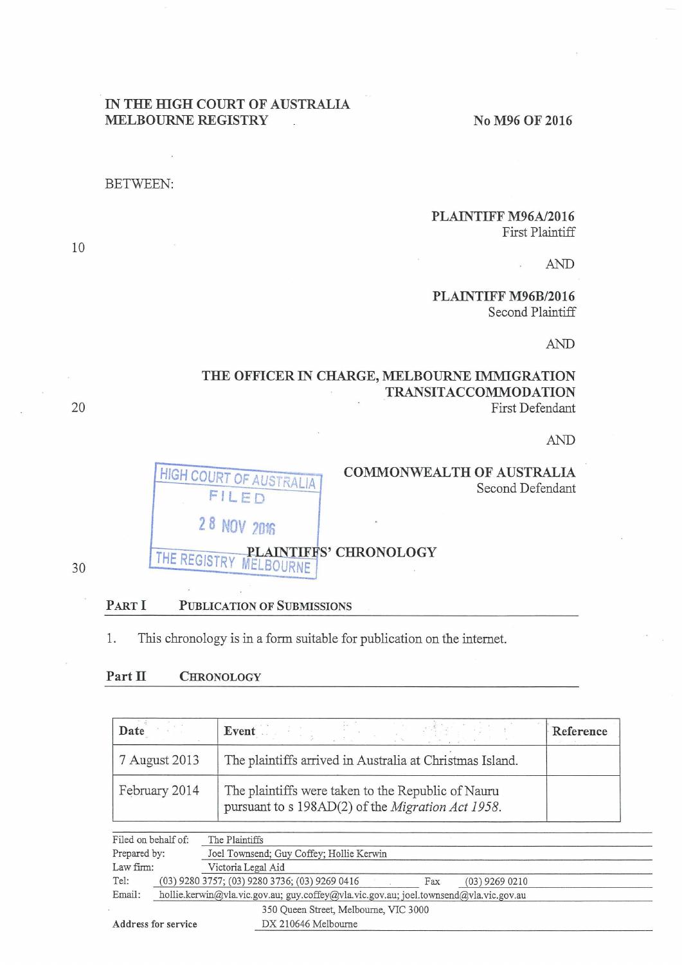### IN THE HIGH COURT OF AUSTRALIA MELBOURNE REGISTRY No M96 OF 2016

#### BETWEEN:

#### PLAINTIFF M96A/2016 First Plaintiff

AND

PLAINTIFF M96B/2016 Second Plaintiff

AND

#### THE OFFICER IN CHARGE, MELBOURNE IMMIGRATION TRANSIT ACCOMMODATION First Defendant

AND



## COMMONWEALTH OF AUSTRALIA Second Defendant

30

# THE REGISTRY MELBOURNE<sup>2</sup> CHRONOLOGY

#### PART I PUBLICATION OF SUBMISSIONS

1. This chronology is in a form suitable for publication on the internet.

Tel: (03) 9280 3757; (03) 9280 3736; (03) 9269 0416 Fax (03) 9269 0210 Email: hollie.kerwin@vla vic.gov.au; guy.coffey@vla. vic.gov.au; joel.townsend@vla. vic.gov.au

#### Part II CHRONOLOGY

| Date                | Event                                                                                                   | Reference |
|---------------------|---------------------------------------------------------------------------------------------------------|-----------|
| 7 August 2013       | The plaintiffs arrived in Australia at Christmas Island.                                                |           |
| February 2014       | The plaintiffs were taken to the Republic of Nauru<br>pursuant to s 198AD(2) of the Migration Act 1958. |           |
| Filed on behalf of: | The Plaintiffs                                                                                          |           |
| Prepared by:        | Joel Townsend; Guy Coffey; Hollie Kerwin                                                                |           |
| Law firm:           | Victoria Legal Aid                                                                                      |           |

350 Queen Street, Melbourne, VlC 3000 Address for service <u>DX 210646 Melbourne</u> and DX 2006 and DX 210646 Melbourne and DX 210646 Melbourne and DX 210646 Melbourne and DX 210646 Melbourne and DX 210646 Melbourne and DX 210646 Melbourne and DX 210646 Melbourne

10

20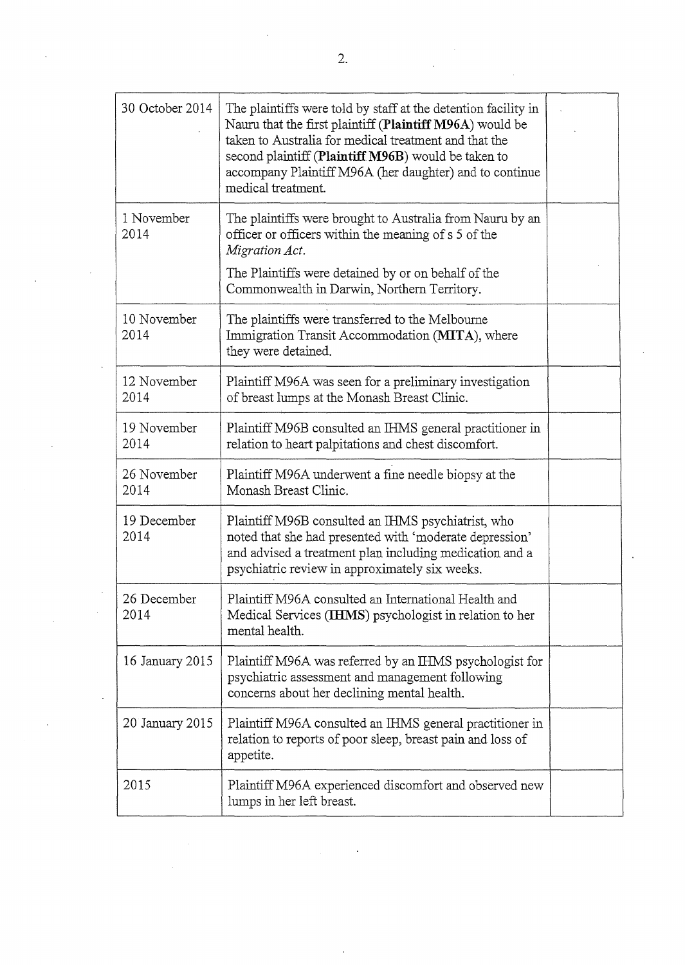| 30 October 2014     | The plaintiffs were told by staff at the detention facility in<br>Nauru that the first plaintiff (Plaintiff M96A) would be<br>taken to Australia for medical treatment and that the<br>second plaintiff (Plaintiff M96B) would be taken to<br>accompany Plaintiff M96A (her daughter) and to continue<br>medical treatment. |  |
|---------------------|-----------------------------------------------------------------------------------------------------------------------------------------------------------------------------------------------------------------------------------------------------------------------------------------------------------------------------|--|
| 1 November<br>2014  | The plaintiffs were brought to Australia from Nauru by an<br>officer or officers within the meaning of s 5 of the<br>Migration Act.<br>The Plaintiffs were detained by or on behalf of the<br>Commonwealth in Darwin, Northern Territory.                                                                                   |  |
| 10 November<br>2014 | The plaintiffs were transferred to the Melbourne<br>Immigration Transit Accommodation (MITA), where<br>they were detained.                                                                                                                                                                                                  |  |
| 12 November<br>2014 | Plaintiff M96A was seen for a preliminary investigation<br>of breast lumps at the Monash Breast Clinic.                                                                                                                                                                                                                     |  |
| 19 November<br>2014 | Plaintiff M96B consulted an IHMS general practitioner in<br>relation to heart palpitations and chest discomfort.                                                                                                                                                                                                            |  |
| 26 November<br>2014 | Plaintiff M96A underwent a fine needle biopsy at the<br>Monash Breast Clinic.                                                                                                                                                                                                                                               |  |
| 19 December<br>2014 | Plaintiff M96B consulted an IHMS psychiatrist, who<br>noted that she had presented with 'moderate depression'<br>and advised a treatment plan including medication and a<br>psychiatric review in approximately six weeks.                                                                                                  |  |
| 26 December<br>2014 | Plaintiff M96A consulted an International Health and<br>Medical Services (IHMS) psychologist in relation to her<br>mental health.                                                                                                                                                                                           |  |
| 16 January 2015     | Plaintiff M96A was referred by an IHMS psychologist for<br>psychiatric assessment and management following<br>concerns about her declining mental health.                                                                                                                                                                   |  |
| 20 January 2015     | Plaintiff M96A consulted an IHMS general practitioner in<br>relation to reports of poor sleep, breast pain and loss of<br>appetite.                                                                                                                                                                                         |  |
| 2015                | Plaintiff M96A experienced discomfort and observed new<br>lumps in her left breast.                                                                                                                                                                                                                                         |  |

 $\ddot{\phantom{a}}$ 

 $\cdot$ 

 $\ddot{\phantom{a}}$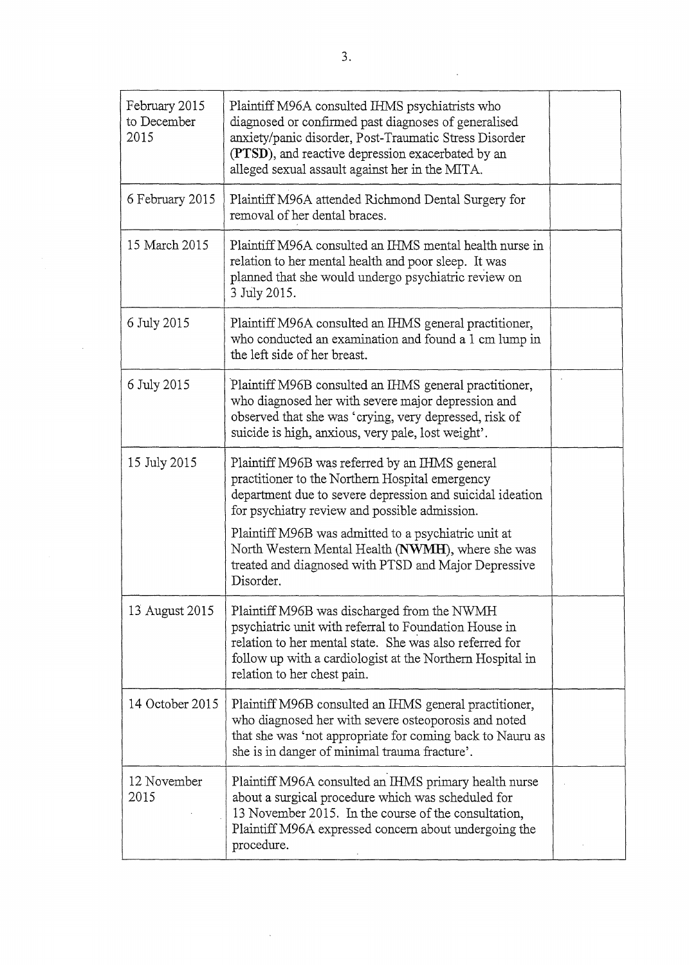| February 2015<br>to December<br>2015 | Plaintiff M96A consulted IHMS psychiatrists who<br>diagnosed or confirmed past diagnoses of generalised<br>anxiety/panic disorder, Post-Traumatic Stress Disorder<br>(PTSD), and reactive depression exacerbated by an<br>alleged sexual assault against her in the MITA.                                                                                                                         |  |
|--------------------------------------|---------------------------------------------------------------------------------------------------------------------------------------------------------------------------------------------------------------------------------------------------------------------------------------------------------------------------------------------------------------------------------------------------|--|
| 6 February 2015                      | Plaintiff M96A attended Richmond Dental Surgery for<br>removal of her dental braces.                                                                                                                                                                                                                                                                                                              |  |
| 15 March 2015                        | Plaintiff M96A consulted an IHMS mental health nurse in<br>relation to her mental health and poor sleep. It was<br>planned that she would undergo psychiatric review on<br>3 July 2015.                                                                                                                                                                                                           |  |
| 6 July 2015                          | Plaintiff M96A consulted an IHMS general practitioner,<br>who conducted an examination and found a 1 cm lump in<br>the left side of her breast.                                                                                                                                                                                                                                                   |  |
| 6 July 2015                          | Plaintiff M96B consulted an IHMS general practitioner,<br>who diagnosed her with severe major depression and<br>observed that she was 'crying, very depressed, risk of<br>suicide is high, anxious, very pale, lost weight'.                                                                                                                                                                      |  |
| 15 July 2015                         | Plaintiff M96B was referred by an IHMS general<br>practitioner to the Northern Hospital emergency<br>department due to severe depression and suicidal ideation<br>for psychiatry review and possible admission.<br>Plaintiff M96B was admitted to a psychiatric unit at<br>North Western Mental Health (NWMH), where she was<br>treated and diagnosed with PTSD and Major Depressive<br>Disorder. |  |
| 13 August 2015                       | Plaintiff M96B was discharged from the NWMH<br>psychiatric unit with referral to Foundation House in<br>relation to her mental state. She was also referred for<br>follow up with a cardiologist at the Northern Hospital in<br>relation to her chest pain.                                                                                                                                       |  |
| 14 October 2015                      | Plaintiff M96B consulted an IHMS general practitioner,<br>who diagnosed her with severe osteoporosis and noted<br>that she was 'not appropriate for coming back to Nauru as<br>she is in danger of minimal trauma fracture'.                                                                                                                                                                      |  |
| 12 November<br>2015                  | Plaintiff M96A consulted an IHMS primary health nurse<br>about a surgical procedure which was scheduled for<br>13 November 2015. In the course of the consultation,<br>Plaintiff M96A expressed concern about undergoing the<br>procedure.                                                                                                                                                        |  |